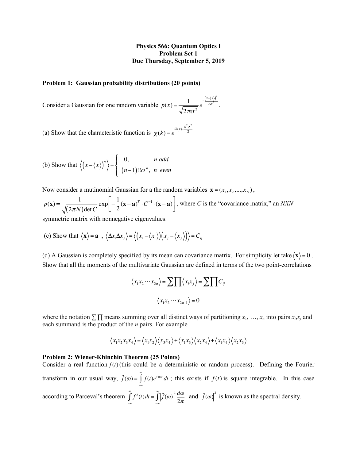## **Physics 566: Quantum Optics I Problem Set 1 Due Thursday, September 5, 2019**

## **Problem 1: Gaussian probability distributions (20 points)**

Consider a Gaussian for one random variable  $p(x) = \frac{1}{\sqrt{2\pi\sigma^2}} e^{\frac{(x - \langle x_i \rangle)^2}{2\sigma^2}}$ .  $-\frac{(x-\langle x \rangle)^2}{2}$  $2\sigma^2$ 

(a) Show that the characteristic function is  $\chi(k) = e^{i(kx^2 - 2k)}$  $ik\langle x\rangle - \frac{k^2\sigma^2}{2}$ 2

(b) Show that 
$$
\langle (x - \langle x \rangle)^n \rangle = \begin{cases} 0, & n \text{ odd} \\ (n-1)!!\sigma^n, & n \text{ even} \end{cases}
$$

Now consider a mutinomial Gaussian for a the random variables  $\mathbf{x} = (x_1, x_2, ..., x_N)$ ,

$$
p(\mathbf{x}) = \frac{1}{\sqrt{(2\pi N)\det C}} \exp\left[-\frac{1}{2}(\mathbf{x} - \mathbf{a})^T \cdot C^{-1} \cdot (\mathbf{x} - \mathbf{a})\right], \text{ where } C \text{ is the "covariance matrix," an NXN}
$$

symmetric matrix with nonnegative eigenvalues.

(c) Show that 
$$
\langle \mathbf{x} \rangle = \mathbf{a} , \langle \Delta x_i \Delta x_j \rangle = \langle (x_i - \langle x_i \rangle) (x_j - \langle x_j \rangle) \rangle = C_{ij}
$$

(d) A Gaussian is completely specified by its mean can covariance matrix. For simplicity let take  $\langle x \rangle = 0$ . Show that all the moments of the multivariate Gaussian are defined in terms of the two point-correlations

$$
\langle x_1 x_2 \cdots x_{2n} \rangle = \sum \prod \langle x_i x_j \rangle = \sum \prod C_{ij}
$$

$$
\langle x_1 x_2 \cdots x_{2n-1} \rangle = 0
$$

where the notation ∑ ∏ means summing over all distinct ways of partitioning *x*1, …, *xn* into pairs *xi*,*xj* and each summand is the product of the *n* pairs. For example

$$
\langle x_1 x_2 x_3 x_4 \rangle = \langle x_1 x_2 \rangle \langle x_3 x_4 \rangle + \langle x_1 x_3 \rangle \langle x_2 x_4 \rangle + \langle x_1 x_4 \rangle \langle x_2 x_3 \rangle
$$

## **Problem 2: Wiener-Khinchin Theorem (25 Points)**

Consider a real function  $f(t)$  (this could be a deterministic or random process). Defining the Fourier transform in our usual way,  $\tilde{f}(\omega) = \int f(t)e^{i\omega t} dt$ ; this exists if  $f(t)$  is square integrable. In this case according to Parceval's theorem  $\int f^2(t)dt = \int |\tilde{f}(\omega)|^2 \frac{d\omega}{d\omega}$  and  $|\tilde{f}(\omega)|^2$  is known as the spectral density. −∞  $\int_{a}^{\infty} f(t)e^{+i\omega t} dt$ ; this exists if  $f(t)$ −∞  $\int_a^{\infty} f^2(t) dt = \int_a^{\infty} \left| \int_a^{\infty} f(\omega) \right|^2 \frac{d\omega}{2\pi}$  $J_{-\infty}$ <sup>1</sup> 2π  $\int \int \tilde{f}(\omega) \Big|^2 \frac{d\omega}{2\pi}$  and  $\Big| \tilde{f}(\omega) \Big|^2$